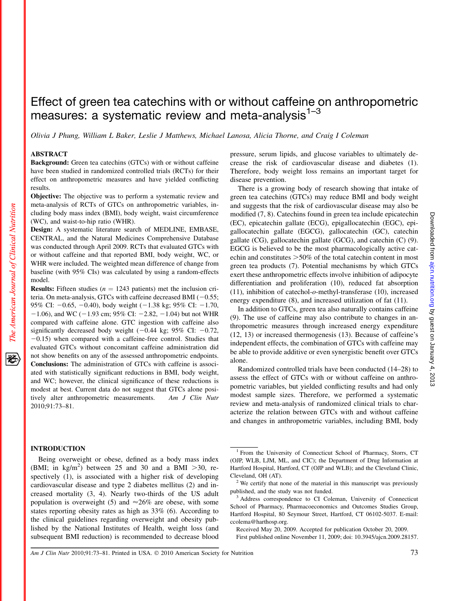## Effect of green tea catechins with or without caffeine on anthropometric measures: a systematic review and meta-analysis $1-3$

Olivia J Phung, William L Baker, Leslie J Matthews, Michael Lanosa, Alicia Thorne, and Craig I Coleman

#### ABSTRACT

Background: Green tea catechins (GTCs) with or without caffeine have been studied in randomized controlled trials (RCTs) for their effect on anthropometric measures and have yielded conflicting results.

Objective: The objective was to perform a systematic review and meta-analysis of RCTs of GTCs on anthropometric variables, including body mass index (BMI), body weight, waist circumference (WC), and waist-to-hip ratio (WHR).

Design: A systematic literature search of MEDLINE, EMBASE, CENTRAL, and the Natural Medicines Comprehensive Database was conducted through April 2009. RCTs that evaluated GTCs with or without caffeine and that reported BMI, body weight, WC, or WHR were included. The weighted mean difference of change from baseline (with 95% CIs) was calculated by using a random-effects model.

**Results:** Fifteen studies ( $n = 1243$  patients) met the inclusion criteria. On meta-analysis, GTCs with caffeine decreased BMI  $(-0.55;$ 95% CI:  $-0.65$ ,  $-0.40$ ), body weight ( $-1.38$  kg; 95% CI:  $-1.70$ ,  $-1.06$ ), and WC ( $-1.93$  cm; 95% CI:  $-2.82, -1.04$ ) but not WHR compared with caffeine alone. GTC ingestion with caffeine also significantly decreased body weight  $(-0.44 \text{ kg}; 95\% \text{ CI}: -0.72,$  $-0.15$ ) when compared with a caffeine-free control. Studies that evaluated GTCs without concomitant caffeine administration did not show benefits on any of the assessed anthropometric endpoints. Conclusions: The administration of GTCs with caffeine is associated with statistically significant reductions in BMI, body weight, and WC; however, the clinical significance of these reductions is modest at best. Current data do not suggest that GTCs alone positively alter anthropometric measurements. Am J Clin Nutr 2010;91:73–81.

#### INTRODUCTION

Being overweight or obese, defined as a body mass index (BMI; in  $\text{kg/m}^2$ ) between 25 and 30 and a BMI >30, respectively (1), is associated with a higher risk of developing cardiovascular disease and type 2 diabetes mellitus (2) and increased mortality (3, 4). Nearly two-thirds of the US adult population is overweight (5) and  $\approx 26\%$  are obese, with some states reporting obesity rates as high as 33% (6). According to the clinical guidelines regarding overweight and obesity published by the National Institutes of Health, weight loss (and subsequent BMI reduction) is recommended to decrease blood

pressure, serum lipids, and glucose variables to ultimately decrease the risk of cardiovascular disease and diabetes (1). Therefore, body weight loss remains an important target for disease prevention.

There is a growing body of research showing that intake of green tea catechins (GTCs) may reduce BMI and body weight and suggests that the risk of cardiovascular disease may also be modified (7, 8). Catechins found in green tea include epicatechin (EC), epicatechin gallate (ECG), epigallocatechin (EGC), epigallocatechin gallate (EGCG), gallocatechin (GC), catechin gallate (CG), gallocatechin gallate (GCG), and catechin (C) (9). EGCG is believed to be the most pharmacologically active catechin and constitutes  $>50\%$  of the total catechin content in most green tea products (7). Potential mechanisms by which GTCs exert these anthropometric effects involve inhibition of adipocyte differentiation and proliferation (10), reduced fat absorption  $(11)$ , inhibition of catechol- $o$ -methyl-transferase  $(10)$ , increased energy expenditure (8), and increased utilization of fat (11).

In addition to GTCs, green tea also naturally contains caffeine (9). The use of caffeine may also contribute to changes in anthropometric measures through increased energy expenditure (12, 13) or increased thermogenesis (13). Because of caffeine's independent effects, the combination of GTCs with caffeine may be able to provide additive or even synergistic benefit over GTCs alone.

Randomized controlled trials have been conducted (14–28) to assess the effect of GTCs with or without caffeine on anthropometric variables, but yielded conflicting results and had only modest sample sizes. Therefore, we performed a systematic review and meta-analysis of randomized clinical trials to characterize the relation between GTCs with and without caffeine and changes in anthropometric variables, including BMI, body

First published online November 11, 2009; doi: 10.3945/ajcn.2009.28157.

Am J Clin Nutr 2010;91:73-81. Printed in USA.  $\odot$  2010 American Society for Nutrition 73

移

<sup>&</sup>lt;sup>1</sup> From the University of Connecticut School of Pharmacy, Storrs, CT (OJP, WLB, LJM, ML, and CIC); the Department of Drug Information at Hartford Hospital, Hartford, CT (OJP and WLB); and the Cleveland Clinic,

Cleveland, OH (AT).<br><sup>2</sup> We certify that none of the material in this manuscript was previously published, and the study was not funded.

Address correspondence to CI Coleman, University of Connecticut School of Pharmacy, Pharmacoeconomics and Outcomes Studies Group, Hartford Hospital, 80 Seymour Street, Hartford, CT 06102-5037. E-mail: ccolema@harthosp.org.

Received May 20, 2009. Accepted for publication October 20, 2009.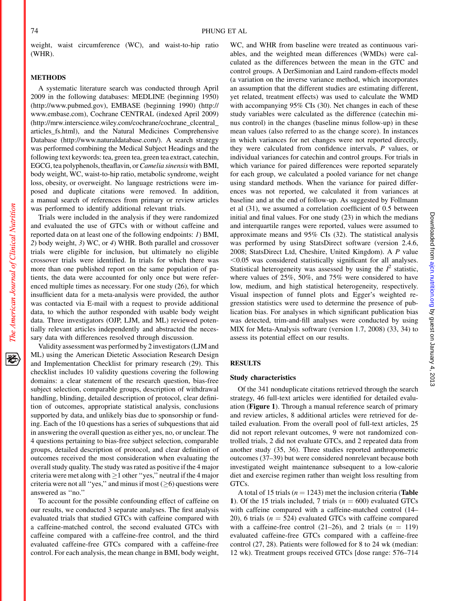weight, waist circumference (WC), and waist-to-hip ratio (WHR).

#### METHODS

A systematic literature search was conducted through April 2009 in the following databases: MEDLINE (beginning 1950) (http://www.pubmed.gov), EMBASE (beginning 1990) (http:// www.embase.com), Cochrane CENTRAL (indexed April 2009) (http://mrw.interscience.wiley.com/cochrane/cochrane\_clcentral\_ articles\_fs.html), and the Natural Medicines Comprehensive Database (http://www.naturaldatabase.com/). A search strategy was performed combining the Medical Subject Headings and the following text keywords: tea, green tea, green tea extract, catechin, EGCG, tea polyphenols, theaflavin, or *Camelia sinensis* with BMI, body weight, WC, waist-to-hip ratio, metabolic syndrome, weight loss, obesity, or overweight. No language restrictions were imposed and duplicate citations were removed. In addition, a manual search of references from primary or review articles was performed to identify additional relevant trials.

Trials were included in the analysis if they were randomized and evaluated the use of GTCs with or without caffeine and reported data on at least one of the following endpoints: 1) BMI, 2) body weight, 3) WC, or 4) WHR. Both parallel and crossover trials were eligible for inclusion, but ultimately no eligible crossover trials were identified. In trials for which there was more than one published report on the same population of patients, the data were accounted for only once but were referenced multiple times as necessary. For one study (26), for which insufficient data for a meta-analysis were provided, the author was contacted via E-mail with a request to provide additional data, to which the author responded with usable body weight data. Three investigators (OJP, LJM, and ML) reviewed potentially relevant articles independently and abstracted the necessary data with differences resolved through discussion.

Validity assessment was performed by 2 investigators (LJM and ML) using the American Dietetic Association Research Design and Implementation Checklist for primary research (29). This checklist includes 10 validity questions covering the following domains: a clear statement of the research question, bias-free subject selection, comparable groups, description of withdrawal handling, blinding, detailed description of protocol, clear definition of outcomes, appropriate statistical analysis, conclusions supported by data, and unlikely bias due to sponsorship or funding. Each of the 10 questions has a series of subquestions that aid in answering the overall question as either yes, no, or unclear. The 4 questions pertaining to bias-free subject selection, comparable groups, detailed description of protocol, and clear definition of outcomes received the most consideration when evaluating the overall study quality. The study was rated as positive if the 4 major criteria were met along with  $\geq 1$  other "yes," neutral if the 4 major criteria were not all "yes," and minus if most  $(\geq 6)$  questions were answered as ''no.''

To account for the possible confounding effect of caffeine on our results, we conducted 3 separate analyses. The first analysis evaluated trials that studied GTCs with caffeine compared with a caffeine-matched control, the second evaluated GTCs with caffeine compared with a caffeine-free control, and the third evaluated caffeine-free GTCs compared with a caffeine-free control. For each analysis, the mean change in BMI, body weight,

WC, and WHR from baseline were treated as continuous variables, and the weighted mean differences (WMDs) were calculated as the differences between the mean in the GTC and control groups. A DerSimonian and Laird random-effects model (a variation on the inverse variance method, which incorporates an assumption that the different studies are estimating different, yet related, treatment effects) was used to calculate the WMD with accompanying 95% CIs (30). Net changes in each of these study variables were calculated as the difference (catechin minus control) in the changes (baseline minus follow-up) in these mean values (also referred to as the change score). In instances in which variances for net changes were not reported directly, they were calculated from confidence intervals, P values, or individual variances for catechin and control groups. For trials in which variance for paired differences were reported separately for each group, we calculated a pooled variance for net change using standard methods. When the variance for paired differences was not reported, we calculated it from variances at baseline and at the end of follow-up. As suggested by Follmann et al (31), we assumed a correlation coefficient of 0.5 between initial and final values. For one study (23) in which the medians and interquartile ranges were reported, values were assumed to approximate means and 95% CIs (32). The statistical analysis was performed by using StatsDirect software (version 2.4.6, 2008; StatsDirect Ltd, Cheshire, United Kingdom). A P value  $<$ 0.05 was considered statistically significant for all analyses. Statistical heterogeneity was assessed by using the  $I^2$  statistic, where values of 25%, 50%, and 75% were considered to have low, medium, and high statistical heterogeneity, respectively. Visual inspection of funnel plots and Egger's weighted regression statistics were used to determine the presence of publication bias. For analyses in which significant publication bias was detected, trim-and-fill analyses were conducted by using MIX for Meta-Analysis software (version 1.7, 2008) (33, 34) to assess its potential effect on our results.

#### **RESULTS**

#### Study characteristics

Of the 341 nonduplicate citations retrieved through the search strategy, 46 full-text articles were identified for detailed evaluation (Figure 1). Through a manual reference search of primary and review articles, 8 additional articles were retrieved for detailed evaluation. From the overall pool of full-text articles, 25 did not report relevant outcomes, 9 were not randomized controlled trials, 2 did not evaluate GTCs, and 2 repeated data from another study (35, 36). Three studies reported anthropometric outcomes (37–39) but were considered nonrelevant because both investigated weight maintenance subsequent to a low-calorie diet and exercise regimen rather than weight loss resulting from GTCs.

A total of 15 trials ( $n = 1243$ ) met the inclusion criteria (Table 1). Of the 15 trials included, 7 trials ( $n = 600$ ) evaluated GTCs with caffeine compared with a caffeine-matched control (14– 20), 6 trials ( $n = 524$ ) evaluated GTCs with caffeine compared with a caffeine-free control (21–26), and 2 trials  $(n = 119)$ evaluated caffeine-free GTCs compared with a caffeine-free control (27, 28). Patients were followed for 8 to 24 wk (median: 12 wk). Treatment groups received GTCs [dose range: 576–714

The American Journal of Clinical Nutrition

资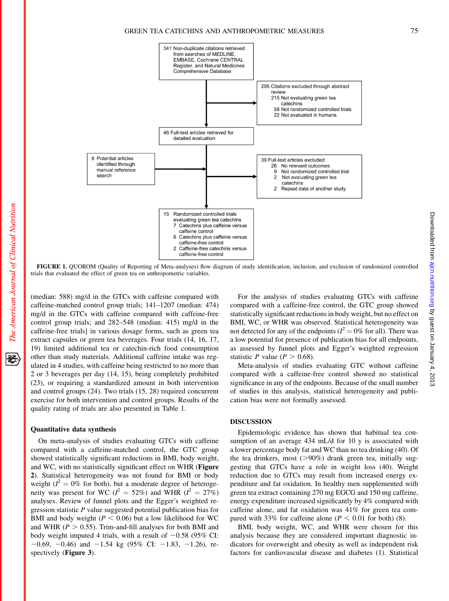by guest on January 4, 2013 [ajcn.nutrition.org](http://ajcn.nutrition.org/) Downloaded from

Downloaded from ajon.nutrition.org by guest on January 4, 2013



FIGURE 1. QUOROM (Quality of Reporting of Meta-analyses) flow diagram of study identification, inclusion, and exclusion of randomized controlled trials that evaluated the effect of green tea on anthropometric variables.

(median: 588) mg/d in the GTCs with caffeine compared with caffeine-matched control group trials; 141–1207 (median: 474) mg/d in the GTCs with caffeine compared with caffeine-free control group trials; and 282–548 (median: 415) mg/d in the caffeine-free trials] in various dosage forms, such as green tea extract capsules or green tea beverages. Four trials (14, 16, 17, 19) limited additional tea or catechin-rich food consumption other than study materials. Additional caffeine intake was regulated in 4 studies, with caffeine being restricted to no more than 2 or 3 beverages per day (14, 15), being completely prohibited (23), or requiring a standardized amount in both intervention and control groups (24). Two trials (15, 28) required concurrent exercise for both intervention and control groups. Results of the quality rating of trials are also presented in Table 1.

#### Quantitative data synthesis

On meta-analysis of studies evaluating GTCs with caffeine compared with a caffeine-matched control, the GTC group showed statistically significant reductions in BMI, body weight, and WC, with no statistically significant effect on WHR (Figure 2). Statistical heterogeneity was not found for BMI or body weight ( $l^2 = 0\%$  for both), but a moderate degree of heterogeneity was present for WC ( $l^2 = 52\%$ ) and WHR ( $l^2 = 27\%$ ) analyses. Review of funnel plots and the Egger's weighted regression statistic P value suggested potential publication bias for BMI and body weight ( $P < 0.06$ ) but a low likelihood for WC and WHR ( $P > 0.55$ ). Trim-and-fill analyses for both BMI and body weight imputed 4 trials, with a result of  $-0.58$  (95% CI:  $-0.69$ ,  $-0.46$ ) and  $-1.54$  kg (95% CI:  $-1.83$ ,  $-1.26$ ), respectively (**Figure 3**).

For the analysis of studies evaluating GTCs with caffeine compared with a caffeine-free control, the GTC group showed statistically significant reductions in body weight, but no effect on BMI, WC, or WHR was observed. Statistical heterogeneity was not detected for any of the endpoints ( $l^2 = 0\%$  for all). There was a low potential for presence of publication bias for all endpoints, as assessed by funnel plots and Egger's weighted regression statistic P value ( $P > 0.68$ ).

Meta-analysis of studies evaluating GTC without caffeine compared with a caffeine-free control showed no statistical significance in any of the endpoints. Because of the small number of studies in this analysis, statistical heterogeneity and publication bias were not formally assessed.

#### DISCUSSION

Epidemiologic evidence has shown that habitual tea consumption of an average 434 mL/d for 10 y is associated with a lower percentage body fat and WC than no tea drinking (40). Of the tea drinkers, most  $(>90%)$  drank green tea, initially suggesting that GTCs have a role in weight loss (40). Weight reduction due to GTCs may result from increased energy expenditure and fat oxidation. In healthy men supplemented with green tea extract containing 270 mg EGCG and 150 mg caffeine, energy expenditure increased significantly by 4% compared with caffeine alone, and fat oxidation was 41% for green tea compared with 33% for caffeine alone ( $P < 0.01$  for both) (8).

BMI, body weight, WC, and WHR were chosen for this analysis because they are considered important diagnostic indicators for overweight and obesity as well as independent risk factors for cardiovascular disease and diabetes (1). Statistical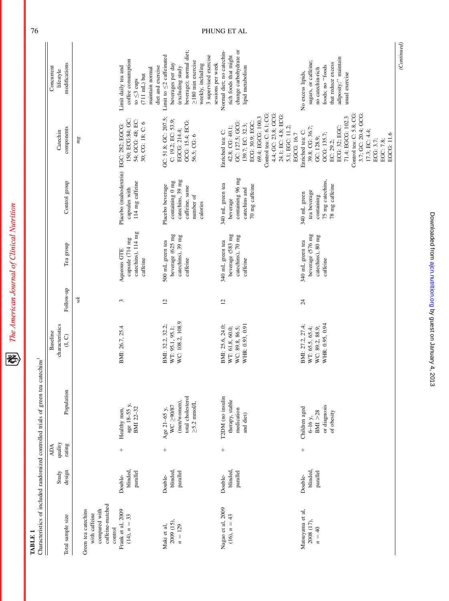| Š<br>I |
|--------|
|        |

# TABLE 1

 $t$ eching $1$ Characteristics of included randomized controlled trials of green tea catechins1 trolled trials of  $\frac{1}{2}$ **TABLE 1**<br>Characteristics of included ran

|                                                                                      |                                 |                   | Cuaracteristics of included randomized controlled trials of green test cateculias   |                                                                           |                 |                                                                       |                                                                                                    |                                                                                                                                                                                                                                  |                                                                                                                                                                                                 |
|--------------------------------------------------------------------------------------|---------------------------------|-------------------|-------------------------------------------------------------------------------------|---------------------------------------------------------------------------|-----------------|-----------------------------------------------------------------------|----------------------------------------------------------------------------------------------------|----------------------------------------------------------------------------------------------------------------------------------------------------------------------------------------------------------------------------------|-------------------------------------------------------------------------------------------------------------------------------------------------------------------------------------------------|
|                                                                                      |                                 | <b>ADA</b>        |                                                                                     | Baseline                                                                  |                 |                                                                       |                                                                                                    |                                                                                                                                                                                                                                  | Concurrent                                                                                                                                                                                      |
| Total sample size                                                                    | design<br>Study                 | quality<br>rating | Population                                                                          | characteristics<br>$\left( 1,\, C \right)$                                | Follow-up       | Tea group                                                             | Control group                                                                                      | components<br>Catechin                                                                                                                                                                                                           | modifications<br>lifestyle                                                                                                                                                                      |
| caffeine-matched<br>Green tea catechins<br>compared with<br>with caffeine<br>control |                                 |                   |                                                                                     |                                                                           | уķ              |                                                                       |                                                                                                    | mg                                                                                                                                                                                                                               |                                                                                                                                                                                                 |
| Frank et al, 2009<br>$(14), n = 33$                                                  | blinded,<br>parallel<br>Double- | $^{+}$            | age 18-55 y,<br>BMI 22-32<br>Healthy men,                                           | BMI: 26.7, 25.4                                                           | 3               | catechins), 114 mg<br>capsule (714 mg<br>Aqueous GTE<br>caffeine      | Placebo (maltodextrin) EGC: 282; EGCG:<br>114 mg caffeine<br>capsules with                         | 150; ECG:84; GC:<br>54; GCG: 48; EC:<br>30; CG: 18; C: 6                                                                                                                                                                         | coffee consumption<br>Limit daily tea and<br>diet and exercise<br>maintain normal<br>$(711 \text{ mL})$ but<br>to $\leq$ 3 cups                                                                 |
| 2009 (15),<br>$n = 129$<br>Maki et al,                                               | blinded,<br>parallel<br>Double- | $^{+}$            | total cholesterol<br>(men/women),<br>$\geq$ 5.2 mmol/L<br>WC 290/87<br>Age 21-65 y, | WC: 108.2, 108.9<br>BMI: 32.2, 32.2;<br>WT: 95.1, 95.1;                   | $\overline{c}$  | beverage (625 mg<br>catechins), 39 mg<br>500 mL green tea<br>caffeine | catechins, 39 mg<br>containing 0 mg<br>Placebo beverage<br>caffeine, same<br>number of<br>calories | GC: 51.8; GC: 207.5;<br>C: 19.2; EC: 53.9;<br>GCG: 15.4; ECG:<br>EGCG: 214.4;<br>56.5; CG: 6                                                                                                                                     | beverage); normal diet;<br>Limit to $\leq$ 2 caffeinated<br>3 supervised exercise<br>$\geq$ 180 min exercise<br>sessions per week<br>beverages per day<br>weekly, including<br>(excluding study |
| Nagao et al, 2009<br>$(16)$ , $n = 43$                                               | blinded,<br>parallel<br>Double- | $^{+}$            | T2DM (no insulin<br>therapy, stable<br>medication<br>and diet)                      | WHR: 0.93, 0.91<br>BMI: 25.6, 24.0;<br>WT: 61.8, 60.0;<br>WC: 89.8, 86.5; | $\overline{c}$  | beverage (583 mg<br>catechins), 70 mg<br>340 mL green tea<br>caffeine | containing 96 mg<br>340 mL green tea<br>70 mg caffeine<br>catechins and<br>beverage                | Control tea: C: 6.1; CG:<br>4.4; GC: 23.8; GCG:<br>24.1; EC: 4.8; ECG:<br>69.4; EGCG: 100.3<br>ECG: 30.9; EGC:<br>GC: 127.5; GCG:<br>139.7; EC: 32.3;<br>42.8; CG: 40.1;<br>5.1; EGC: 11.2;<br>Enriched tea: C:<br>EGCG: 16.7    | change carbohydrate or<br>Normal diet; no catechin-<br>rich foods that might<br>lipid metabolism                                                                                                |
| Matsuyama et al,<br>2008 (17),<br>$n = 40$                                           | blinded,<br>parallel<br>Double- | $^{+}$            | or diagnosis<br>Children aged<br>$6-16$ y,<br>BMI $>28$<br>of obesity               | WHR: 0.95, 0.94<br>BMI: 27.2, 27.4;<br>WT: 65.5, 65.4;<br>WC: 89.2, 88.9; | $\overline{24}$ | beverage (576 mg<br>catechins), 80 mg<br>340 mL green tea<br>caffeine | 75 mg catechins,<br>78 mg caffeine<br>tea beverage<br>340 mL green<br>containing                   | Control tea: C: 5.8; CG:<br>3.7; GC: 20.4; GCG:<br>71.4; EGCG: 102.3<br>ECG: 32; EGC:<br>39.8; CG: 36.7;<br>17.3; EC: 4.4;<br>Enriched tea: C:<br>GCG: 135.7;<br>EGCG: 11.6<br>GC: 128.9;<br>EGC: 7.8;<br>EC: 29.2;<br>ECG: 3.7; | adiposity;" maintain<br>sugars, or caffeine;<br>that reduce excess<br>foods; no "foods<br>no catechin-rich<br>No excess lipids,<br>usual exercise                                               |

76 PHUNG ET AL

(Continued)

 $(Continued) % \begin{minipage}[b]{0.5\linewidth} \centering \centerline{\includegraphics[width=0.5\linewidth]{images/STM1000.pdf} \centerline{\includegraphics[width=0.5\linewidth]{images/STM1000.pdf} \centerline{\includegraphics[width=0.5\linewidth]{images/STM1000.pdf} \centerline{\includegraphics[width=0.5\linewidth]{images/STM1000.pdf} \centerline{\includegraphics[width=0.5\linewidth]{images/STM1000.pdf} \centerline{\includegraphics[width=0.5\linewidth]{images/STM1000.pdf} \centerline{\includegraphics[width=0.5\linewidth]{images/STM1000.pdf} \centerline{\includegraphics[width=0.5\linewidth]{images/STM100$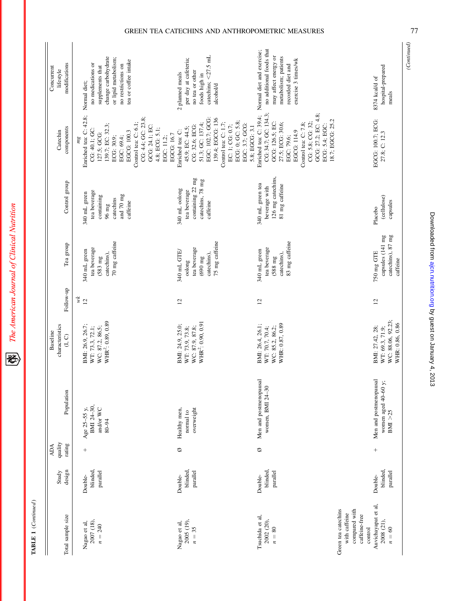| modifications<br>Concurrent<br>lifestyle               | change carbohydrate<br>or lipid metabolism;<br>tea or coffee intake<br>no medications or<br>no restrictions on<br>supplements that<br>Normal diet;                                                                                        | catechins; <27.5 mL<br>per day at cafeteria;<br>no tea or other<br>2 planned meals<br>foods high in<br>alcohol/d                                                                                                     | no additional foods that<br>Normal diet and exercise;<br>may affect energy or<br>metabolism; patients<br>exercise 3 times/wk<br>recorded diet and                                                                           | (Continued)<br>hospital-prepared<br>8374 kcal/d of<br>meals                                                                        |
|--------------------------------------------------------|-------------------------------------------------------------------------------------------------------------------------------------------------------------------------------------------------------------------------------------------|----------------------------------------------------------------------------------------------------------------------------------------------------------------------------------------------------------------------|-----------------------------------------------------------------------------------------------------------------------------------------------------------------------------------------------------------------------------|------------------------------------------------------------------------------------------------------------------------------------|
| components<br>Catechin                                 | Enriched tea: C: 42.8;<br>CG: 4.4; GC: 23.8;<br>Control tea: C: 6.1;<br>139.7; EC: 32.3;<br>GCG: 24.1; EC:<br>4.8; ECG: 5.1;<br>CG: 40.1; GC:<br>EGCG: 100.3<br>127.5; GCG:<br>EGCG: 16.7<br>EGC: 69.4;<br>ECG: 30.9;<br>EGC: 11.2;<br>mg | EGC: 102.7; GCG:<br>139.4; EGCG: 136<br>ECG: 0; GC: 5.8;<br>Control tea: C: 1.7;<br>51.3; GC: 137.4;<br>EGC: 3.7; GCG:<br>EC: 1; CG: 0.7;<br>CG: 32.6; ECG:<br>5.8; EGCG: 3.1<br>45.9; EC: 44.5;<br>Enriched tea: C: | CG: 34.7; GC: 134.3;<br>GCG: 27.2; EC: 4.8;<br>Enriched tea: C: 39.4;<br>18.7; EGCG: 25.2<br>GCG: 126.5; EC:<br>27.5; ECG: 30.6;<br>CG: 5.8; CG: 32;<br>Control tea: C: 7.8;<br>ECG: 5.4; EGC:<br>EGCG: 114.9<br>EGC: 79.6; | EGCG: 100.7; ECG:<br>27.8; C: 12.3                                                                                                 |
| Control group                                          | tea beverage<br>340 mL green<br>and 70 mg<br>containing<br>catechins<br>caffeine<br>$96~\mathrm{mg}$                                                                                                                                      | containing 22 mg<br>catechins, 78 mg<br>340 mL oolong<br>tea beverage<br>caffeine                                                                                                                                    | 126 mg catechins,<br>340 mL green tea<br>81 mg caffeine<br>beverage with                                                                                                                                                    | (cellulose)<br>capsules<br>Placebo                                                                                                 |
| Tea group                                              | 70 mg caffeine<br>tea beverage<br>340 mL green<br>catechins),<br>$(583 \text{ mg})$                                                                                                                                                       | 75 mg caffeine<br>tea beverage<br>340 mL GTE/<br>catechins),<br>$\frac{3u}{100}$<br>oolong                                                                                                                           | 83 mg caffeine<br>tea beverage<br>340 mL green<br>catechins),<br>$(588 \text{ mg})$                                                                                                                                         | catechins), 87 mg<br>capsules (141 mg<br>750 mg GTE<br>caffeine                                                                    |
| Follow-up                                              | νk<br>$\overline{c}$                                                                                                                                                                                                                      | $\overline{12}$                                                                                                                                                                                                      | $\overline{c}$                                                                                                                                                                                                              | $\overline{c}$                                                                                                                     |
| characteristics<br>Baseline<br>$\left( 1,\, C \right)$ | $\text{WHR}^2\text{:}\,0.89,\,0.89$<br>BMI: 26.9, 26.7;<br>WT: 73.3, 72.1;<br>WC: 87.2, 86.5;                                                                                                                                             | WHR <sup>2</sup> : 0.90, 0.91<br>BMI: 24.9, 25.0;<br>WC: 87.9, 87.8;<br>WT: 73.9, 73.8;                                                                                                                              | WHR: 0.87, 0.89<br>BMI: 26.4, 26.1;<br>WC: 85.2, 86.2;<br>WT: 70.7, 70.4;                                                                                                                                                   | WC: 88.06, 92.23;<br>WHR: 0.86, 0.86<br>BMI: 27.42, 28;<br>WT: 69.3, 71.9;                                                         |
| Population                                             | BMI 24-30,<br>Age 25-55 y,<br>and/or WC<br>$80 - 94$                                                                                                                                                                                      | Healthy men,<br>overweight<br>normal to                                                                                                                                                                              | Men and postmenopausal<br>women, BMI 24-30                                                                                                                                                                                  | Men and postmenopausal<br>women aged 40-60 y;<br>BM > 25                                                                           |
| quality<br>rating<br><b>ADA</b>                        | $^{+}$                                                                                                                                                                                                                                    | Ø                                                                                                                                                                                                                    | Ø                                                                                                                                                                                                                           | $^{+}$                                                                                                                             |
| design<br>Study                                        | <b>blinded</b><br>parallel<br>Double-                                                                                                                                                                                                     | blinded,<br>parallel<br>Double-                                                                                                                                                                                      | blinded,<br>parallel<br>Double-                                                                                                                                                                                             | blinded.<br>parallel<br>Double-                                                                                                    |
| Total sample size                                      | 2007 (18),<br>Nagao et al,<br>$n = 240$                                                                                                                                                                                                   | 2005 (19),<br>Nagao et al,<br>$n = 35$                                                                                                                                                                               | Tsuchida et al,<br>$2002(20)$ ,<br>$n = 80$                                                                                                                                                                                 | Auvichayapat et al,<br>Green tea catechins<br>compared with<br>with caffeine<br>caffeine-free<br>2008 (21),<br>control<br>$n = 60$ |

TABLE 1 (Continued )

TABLE 1 (Continued)

The American Journal of Clinical Nutrition

经

### GREEN TEA CATECHINS AND ANTHROPOMETRIC MEASURES 77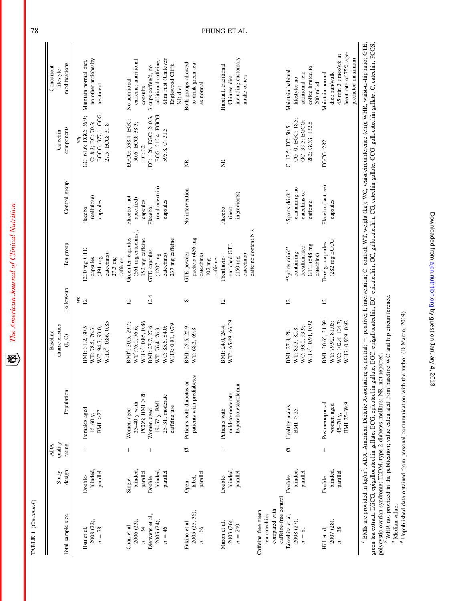|                                |                     | <b>ADA</b>        |                           | Baseline                                |                 |                         |                   |                        | Concurrent                             |
|--------------------------------|---------------------|-------------------|---------------------------|-----------------------------------------|-----------------|-------------------------|-------------------|------------------------|----------------------------------------|
| Total sample size              | design<br>Study     | quality<br>rating | Population                | characteristics<br>C<br>U.C             | Follow-up       | Tea group               | Control group     | components<br>Catechin | modifications<br>lifestyle             |
|                                |                     |                   |                           |                                         | νk              |                         |                   | mg                     |                                        |
| Hsu et al,                     | Double-             | $^{+}$            | Females aged              | BMI: 31.2, 30.5;                        | $\overline{12}$ | 1200 mg GTE             | Placebo           | GC: 61.6; EGC: 36.9;   | Maintain normal diet,                  |
| 2008 (22),                     | blinded,            |                   | $16 - 60$ y,              | WT: 78.5, 76.3;                         |                 | capsules                | (cellulose)       | C: 8.3; EC: 70.3;      | no other antiobesity                   |
| $n=78$                         | parallel            |                   | BMl > 27                  | WC: 94.7, 93.0;                         |                 | (491 mg)                | capsules          | EGCG: 377.1; GCG:      | treatment                              |
|                                |                     |                   |                           | WHR <sup>2</sup> : 0.86, 0.85           |                 | catechins),             |                   | 27.5; ECG: 31.8        |                                        |
|                                |                     |                   |                           |                                         |                 | $27.3$ mg               |                   |                        |                                        |
|                                |                     |                   |                           |                                         |                 | caffeine                |                   |                        |                                        |
| Chan et al,                    | Single-             | $^{+}$            | Women aged                | BMI <sup>3</sup> : 30.5, 29.7;          | $\overline{c}$  | Green tea capsules      | Placebo (not      | EGCG: 538.4; EGC:      | No additional                          |
| 2006 (23),                     | blinded,            |                   | $25-40$ y with            | WT <sup>3</sup> :76.0, 76.6;            |                 | (661 mg catechins),     | specified)        | 50.6; ECG: 38.3;       | caffeine; nutritional                  |
| $n = 34$                       | parallel            |                   | PCOS; BMI $>28$           | WHR <sup>3</sup> : 0.85, 0.86           |                 | 152 mg caffeine         | capsules          | EC: 32                 | consults                               |
| Diepvens et al,                | Double-             | $^{+}$            | Women aged                | BMI: 27.7, 27.6;                        | 12.4            | <b>GTE</b> capsules     | Placebo           | EC: 126, EGC: 240.3,   | 3 cups coffee/d, no                    |
| 2005 (24),                     | blinded             |                   | $19-57$ y, BMI            | WT: 76.4, 76.3;                         |                 | $(1207 \text{ mg})$     | (maltodextrin)    | ECG: 212.4, EGCG:      | additional caffeine,                   |
| $n = 46$                       | parallel            |                   | $25-31$ , moderate        | WC: 85.6, 84.0;                         |                 | catechins),             | capsules          | 595.8, C: 31.5         | Slim Fast (Unilever,                   |
|                                |                     |                   | caffeine use              | WHR: 0.81, 0.79                         |                 | 237 mg caffeine         |                   |                        | Englewood Cliffs,<br>NJ) diet          |
| Fukino et al,                  | Open-               | Ø                 | Patients with diabetes or | BMI: 25.5, 25.9;                        | ${}^{\circ}$    | <b>GTE</b> powder       | No intervention   | ž                      | Both groups allowed                    |
| 2005 (25, 36),                 | label,              |                   | patients with prediabetes | WT: 68.2, 69.8                          |                 | packets (456 mg         |                   |                        | to drink green tea                     |
| $n = 66$                       | parallel            |                   |                           |                                         |                 | catechins),             |                   |                        | as normal                              |
|                                |                     |                   |                           |                                         |                 | caffeine<br>$102$ mg    |                   |                        |                                        |
| Maron et al,                   | Double-             | $^{+}$            | Patients with             | BMI: 24.0, 24.4;                        | $\overline{c}$  | Theaflavin-             | Placebo           | ž                      | Habitual, traditional                  |
| 2003 (26),                     | blinded,            |                   | mild-to-moderate          | WT <sup>4</sup> : 65.49, 66.09          |                 | enriched GTE            | (inert            |                        | Chinese diet,                          |
| $n = 240$                      | parallel            |                   | hypercholesterolemia      |                                         |                 | $(150 \text{ mg})$      |                   |                        | including customary                    |
|                                |                     |                   |                           |                                         |                 | catechins),             | ingredients)      |                        | intake of tea                          |
|                                |                     |                   |                           |                                         |                 | caffeine content NR     |                   |                        |                                        |
| Caffeine-free green            |                     |                   |                           |                                         |                 |                         |                   |                        |                                        |
| compared with<br>tea catechins |                     |                   |                           |                                         |                 |                         |                   |                        |                                        |
| caffeine-free control          |                     |                   |                           |                                         |                 |                         |                   |                        |                                        |
| Takeshita et al,               | Double-             | Ø                 | Healthy males,            | BMI: 27.8, 28;                          | $\overline{c}$  | "Sports drink"          | "Sports drink"    | C: 17.5; EC: 50.5;     | Maintain habitual                      |
| 2008 (27),                     | blinded,            |                   | BMI $\geq 25$             | WT: 82.3, 82.8;                         |                 | containing              | containing no     | CG: 0, EGC: 18.5;      | lifestyle; no                          |
| $n=81$                         | parallel            |                   |                           | WC: 93.0, 93.9;                         |                 | decaffeinated           | catechins or      | GC: 39.5; EGCG:        | additional tea;                        |
|                                |                     |                   |                           | WHR <sup>2</sup> : 0.91, 0.92           |                 | GTE (548 mg             | caffeine          | 282; GCG: 132.5        | coffee limited to                      |
|                                |                     |                   |                           |                                         |                 | catechins)              |                   |                        | 200 mL/d                               |
| 2007 (28),<br>Hill et al,      | blinded,<br>Double- | $^{+}$            | Postmenopausal            | BMI: 30.65, 31.39;<br>WT: 79.92, 81.05; | $\overline{c}$  | Teavigo capsules        | Placebo (lactose) | EGCG: 282              | Maintain normal                        |
| $n=38$                         | parallel            |                   | women aged<br>45-70 y,    | WC: 102.4, 104.7;                       |                 | $(282 \text{ mg EGCG})$ | capsules          |                        | 45 min 3 times/wk at<br>diet; run/walk |
|                                |                     |                   | BMI 25-39.9               | WHR: 0.909, 0.92                        |                 |                         |                   |                        | heart rate of 75% age-                 |
|                                |                     |                   |                           |                                         |                 |                         |                   |                        | predicted maximum                      |
|                                |                     |                   |                           |                                         |                 |                         |                   |                        |                                        |

<sup>1</sup> BMIs are provided in kg/m<sup>2</sup>. ADA, American Dieteic Association; ø, neutral; +, positive; I, intervention; C, control; WT, weight (kg); WC, waist circumference (cm); WHR, waist-to-hip ratio; GTE, green tea extract; EGC BMIs are provided in kg/m2. ADA, American Dietetic Association; ø, neutral; 1, positive; I, intervention; C, control; WT, weight (kg); WC, waist circumference (cm); WHR, waist-to-hip ratio; GTE, green tea extract; EGCG, epigallocatechin gallate; ECG, epicatechin gallate; EGC, epigallocatechin; EC, epicatechin; GC, gallocatechin; CG, catechin gallate; GCG, gallocatechin gallate; C, catechin; PCOS, polycystic ovarian syndrome; T2DM, type 2 diabetes mellitus; NR, not reported. polycystic ovarian syndrome; T2DM, type 2 diabetes mellitus; NR, not reported.

<sup>2</sup> WHR not provided in the publication; value calculated from baseline WC and hip circumference. WHR not provided in the publication; value calculated from baseline WC and hip circumference.

<sup>3</sup> Median value. Median value.

4 Unpublished data obtained from personal communication with the author (D Maron, 2009).

Unpublished data obtained from personal communication with the author (D Maron, 2009).

by guest on January 4, 2013 [ajcn.nutrition.org](http://ajcn.nutrition.org/) Downloaded from

Downloaded from ajon.nutrition.org by guest on January 4, 2013

TABLE 1 (Continued )

TABLE 1 (Continued)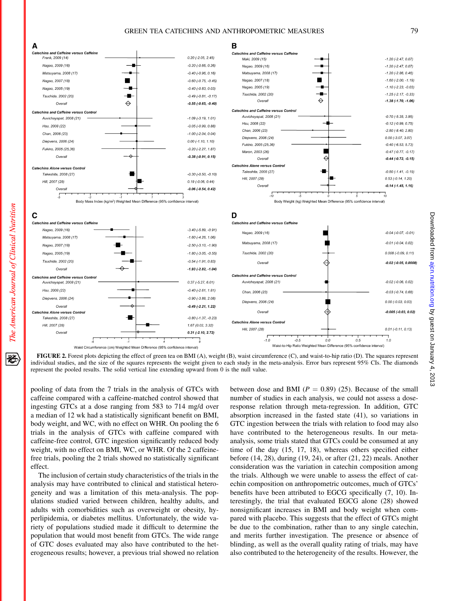#### GREEN TEA CATECHINS AND ANTHROPOMETRIC MEASURES 79



FIGURE 2. Forest plots depicting the effect of green tea on BMI (A), weight (B), waist circumference (C), and waist-to-hip ratio (D). The squares represent individual studies, and the size of the squares represents the weight given to each study in the meta-analysis. Error bars represent 95% CIs. The diamonds represent the pooled results. The solid vertical line extending upward from 0 is the null value.

pooling of data from the 7 trials in the analysis of GTCs with caffeine compared with a caffeine-matched control showed that ingesting GTCs at a dose ranging from 583 to 714 mg/d over a median of 12 wk had a statistically significant benefit on BMI, body weight, and WC, with no effect on WHR. On pooling the 6 trials in the analysis of GTCs with caffeine compared with caffeine-free control, GTC ingestion significantly reduced body weight, with no effect on BMI, WC, or WHR. Of the 2 caffeinefree trials, pooling the 2 trials showed no statistically significant effect.

The American Journal of Clinical Nutrition

移

The inclusion of certain study characteristics of the trials in the analysis may have contributed to clinical and statistical heterogeneity and was a limitation of this meta-analysis. The populations studied varied between children, healthy adults, and adults with comorbidities such as overweight or obesity, hyperlipidemia, or diabetes mellitus. Unfortunately, the wide variety of populations studied made it difficult to determine the population that would most benefit from GTCs. The wide range of GTC doses evaluated may also have contributed to the heterogeneous results; however, a previous trial showed no relation between dose and BMI ( $P = 0.89$ ) (25). Because of the small number of studies in each analysis, we could not assess a doseresponse relation through meta-regression. In addition, GTC absorption increased in the fasted state (41), so variations in GTC ingestion between the trials with relation to food may also have contributed to the heterogeneous results. In our metaanalysis, some trials stated that GTCs could be consumed at any time of the day (15, 17, 18), whereas others specified either before (14, 28), during (19, 24), or after (21, 22) meals. Another consideration was the variation in catechin composition among the trials. Although we were unable to assess the effect of catechin composition on anthropometric outcomes, much of GTCs' benefits have been attributed to EGCG specifically (7, 10). Interestingly, the trial that evaluated EGCG alone (28) showed nonsignificant increases in BMI and body weight when compared with placebo. This suggests that the effect of GTCs might be due to the combination, rather than to any single catechin, and merits further investigation. The presence or absence of blinding, as well as the overall quality rating of trials, may have also contributed to the heterogeneity of the results. However, the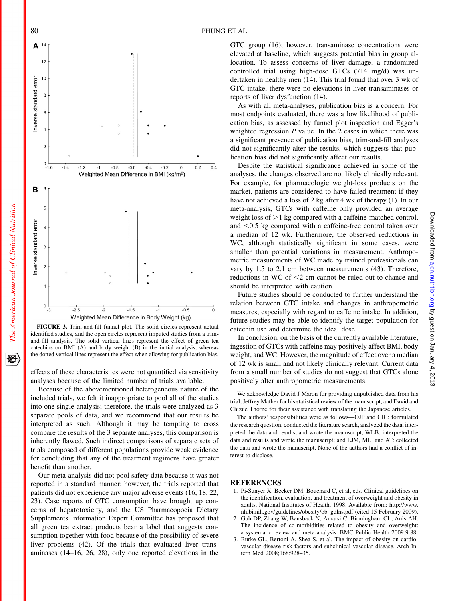

FIGURE 3. Trim-and-fill funnel plot. The solid circles represent actual identified studies, and the open circles represent imputed studies from a trimand-fill analysis. The solid vertical lines represent the effect of green tea catechins on BMI (A) and body weight (B) in the initial analysis, whereas the dotted vertical lines represent the effect when allowing for publication bias.

effects of these characteristics were not quantified via sensitivity analyses because of the limited number of trials available.

Because of the abovementioned heterogeneous nature of the included trials, we felt it inappropriate to pool all of the studies into one single analysis; therefore, the trials were analyzed as 3 separate pools of data, and we recommend that our results be interpreted as such. Although it may be tempting to cross compare the results of the 3 separate analyses, this comparison is inherently flawed. Such indirect comparisons of separate sets of trials composed of different populations provide weak evidence for concluding that any of the treatment regimens have greater benefit than another.

Our meta-analysis did not pool safety data because it was not reported in a standard manner; however, the trials reported that patients did not experience any major adverse events (16, 18, 22, 23). Case reports of GTC consumption have brought up concerns of hepatotoxicity, and the US Pharmacopoeia Dietary Supplements Information Expert Committee has proposed that all green tea extract products bear a label that suggests consumption together with food because of the possibility of severe liver problems (42). Of the trials that evaluated liver transaminases (14–16, 26, 28), only one reported elevations in the

GTC group (16); however, transaminase concentrations were elevated at baseline, which suggests potential bias in group allocation. To assess concerns of liver damage, a randomized controlled trial using high-dose GTCs (714 mg/d) was undertaken in healthy men (14). This trial found that over 3 wk of GTC intake, there were no elevations in liver transaminases or reports of liver dysfunction (14).

As with all meta-analyses, publication bias is a concern. For most endpoints evaluated, there was a low likelihood of publication bias, as assessed by funnel plot inspection and Egger's weighted regression  $P$  value. In the 2 cases in which there was a significant presence of publication bias, trim-and-fill analyses did not significantly alter the results, which suggests that publication bias did not significantly affect our results.

Despite the statistical significance achieved in some of the analyses, the changes observed are not likely clinically relevant. For example, for pharmacologic weight-loss products on the market, patients are considered to have failed treatment if they have not achieved a loss of 2 kg after 4 wk of therapy (1). In our meta-analysis, GTCs with caffeine only provided an average weight loss of  $>1$  kg compared with a caffeine-matched control, and  $< 0.5$  kg compared with a caffeine-free control taken over a median of 12 wk. Furthermore, the observed reductions in WC, although statistically significant in some cases, were smaller than potential variations in measurement. Anthropometric measurements of WC made by trained professionals can vary by 1.5 to 2.1 cm between measurements (43). Therefore, reductions in WC of  $\leq$  cm cannot be ruled out to chance and should be interpreted with caution.

Future studies should be conducted to further understand the relation between GTC intake and changes in anthropometric measures, especially with regard to caffeine intake. In addition, future studies may be able to identify the target population for catechin use and determine the ideal dose.

In conclusion, on the basis of the currently available literature, ingestion of GTCs with caffeine may positively affect BMI, body weight, and WC. However, the magnitude of effect over a median of 12 wk is small and not likely clinically relevant. Current data from a small number of studies do not suggest that GTCs alone positively alter anthropometric measurements.

We acknowledge David J Maron for providing unpublished data from his trial, Jeffrey Mather for his statistical review of the manuscript, and David and Chizue Thorne for their assistance with translating the Japanese articles.

The authors' responsibilities were as follows—OJP and CIC: formulated the research question, conducted the literature search, analyzed the data, interpreted the data and results, and wrote the manuscript; WLB: interpreted the data and results and wrote the manuscript; and LJM, ML, and AT: collected the data and wrote the manuscript. None of the authors had a conflict of interest to disclose.

#### **REFERENCES**

- 1. Pi-Sunyer X, Becker DM, Bouchard C, et al, eds. Clinical guidelines on the identification, evaluation, and treatment of overweight and obesity in adults. National Institutes of Health. 1998. Available from: http://www. nhlbi.nih.gov/guidelines/obesity/ob\_gdlns.pdf (cited 15 February 2009).
- 2. Guh DP, Zhang W, Bansback N, Amarsi C, Birmingham CL, Anis AH. The incidence of co-morbidities related to obesity and overweight: a systematic review and meta-analysis. BMC Public Health 2009;9:88.
- 3. Burke GL, Bertoni A, Shea S, et al. The impact of obesity on cardiovascular disease risk factors and subclinical vascular disease. Arch Intern Med 2008;168:928–35.

移